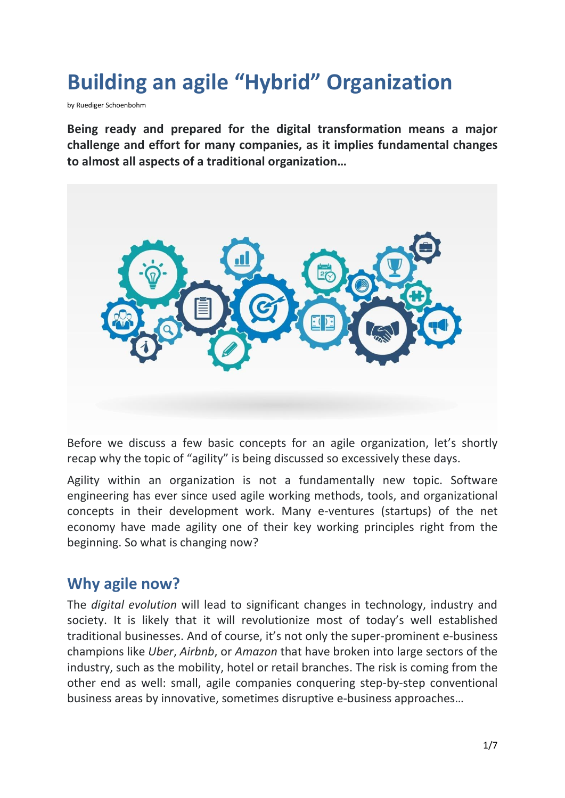# **Building an agile "Hybrid" Organization**

by Ruediger Schoenbohm

**Being ready and prepared for the digital transformation means a major challenge and effort for many companies, as it implies fundamental changes to almost all aspects of a traditional organization…**



Before we discuss a few basic concepts for an agile organization, let's shortly recap why the topic of "agility" is being discussed so excessively these days.

Agility within an organization is not a fundamentally new topic. Software engineering has ever since used agile working methods, tools, and organizational concepts in their development work. Many e-ventures (startups) of the net economy have made agility one of their key working principles right from the beginning. So what is changing now?

## **Why agile now?**

The *digital evolution* will lead to significant changes in technology, industry and society. It is likely that it will revolutionize most of today's well established traditional businesses. And of course, it's not only the super-prominent e-business champions like *Uber*, *Airbnb*, or *Amazon* that have broken into large sectors of the industry, such as the mobility, hotel or retail branches. The risk is coming from the other end as well: small, agile companies conquering step-by-step conventional business areas by innovative, sometimes disruptive e-business approaches…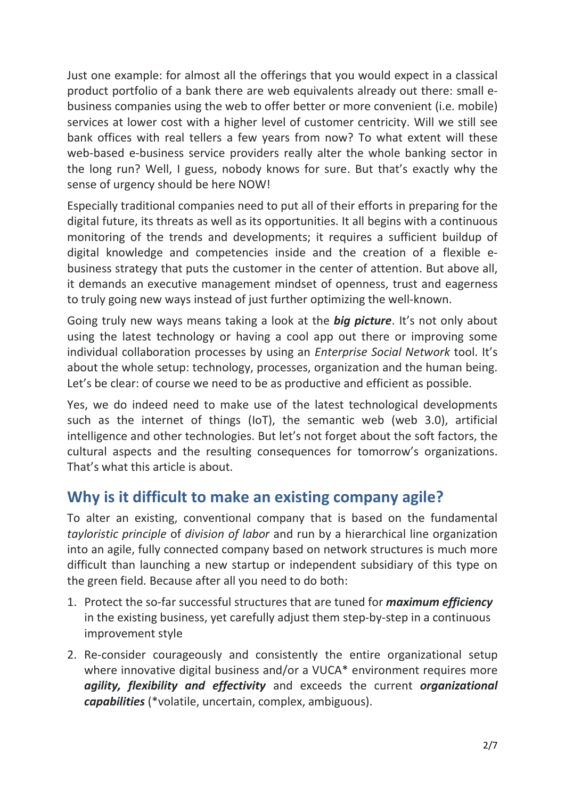Just one example: for almost all the offerings that you would expect in a classical product portfolio of a bank there are web equivalents already out there: small ebusiness companies using the web to offer better or more convenient (i.e. mobile) services at lower cost with a higher level of customer centricity. Will we still see bank offices with real tellers a few years from now? To what extent will these web-based e-business service providers really alter the whole banking sector in the long run? Well, I guess, nobody knows for sure. But that's exactly why the sense of urgency should be here NOW!

Especially traditional companies need to put all of their efforts in preparing for the digital future, its threats as well as its opportunities. It all begins with a continuous monitoring of the trends and developments; it requires a sufficient buildup of digital knowledge and competencies inside and the creation of a flexible ebusiness strategy that puts the customer in the center of attention. But above all, it demands an executive management mindset of openness, trust and eagerness to truly going new ways instead of just further optimizing the well-known.

Going truly new ways means taking a look at the *big picture*. It's not only about using the latest technology or having a cool app out there or improving some individual collaboration processes by using an *Enterprise Social Network* tool. It's about the whole setup: technology, processes, organization and the human being. Let's be clear: of course we need to be as productive and efficient as possible.

Yes, we do indeed need to make use of the latest technological developments such as the internet of things (IoT), the semantic web (web 3.0), artificial intelligence and other technologies. But let's not forget about the soft factors, the cultural aspects and the resulting consequences for tomorrow's organizations. That's what this article is about.

## **Why is it difficult to make an existing company agile?**

To alter an existing, conventional company that is based on the fundamental *tayloristic principle* of *division of labor* and run by a hierarchical line organization into an agile, fully connected company based on network structures is much more difficult than launching a new startup or independent subsidiary of this type on the green field. Because after all you need to do both:

- 1. Protect the so-far successful structures that are tuned for *maximum efficiency* in the existing business, yet carefully adjust them step-by-step in a continuous improvement style
- 2. Re-consider courageously and consistently the entire organizational setup where innovative digital business and/or a VUCA\* environment requires more *agility, flexibility and effectivity* and exceeds the current *organizational capabilities* (\*volatile, uncertain, complex, ambiguous).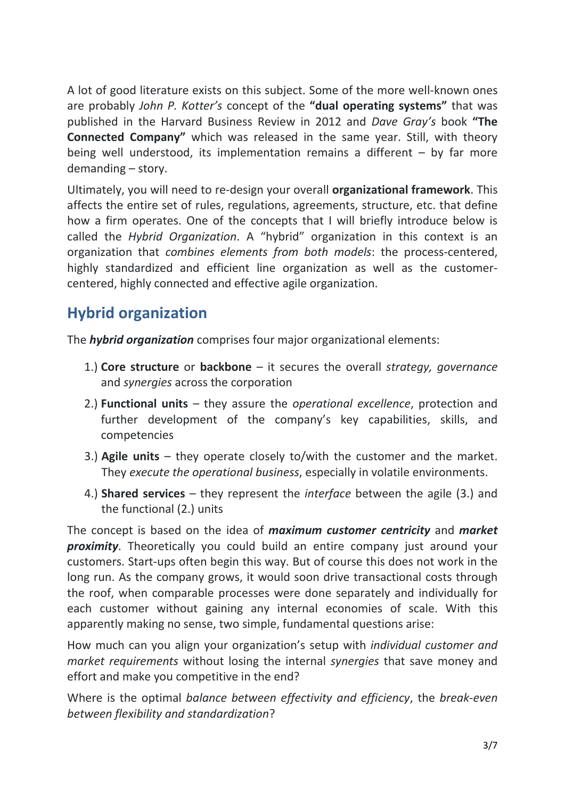A lot of good literature exists on this subject. Some of the more well-known ones are probably *John P. Kotter's* concept of the **"dual operating systems"** that was published in the Harvard Business Review in 2012 and *Dave Gray's* book **"The Connected Company"** which was released in the same year. Still, with theory being well understood, its implementation remains a different – by far more demanding – story.

Ultimately, you will need to re-design your overall **organizational framework**. This affects the entire set of rules, regulations, agreements, structure, etc. that define how a firm operates. One of the concepts that I will briefly introduce below is called the *Hybrid Organization*. A "hybrid" organization in this context is an organization that *combines elements from both models*: the process-centered, highly standardized and efficient line organization as well as the customercentered, highly connected and effective agile organization.

## **Hybrid organization**

The *hybrid organization* comprises four major organizational elements:

- 1.) **Core structure** or **backbone** it secures the overall *strategy, governance* and *synergies* across the corporation
- 2.) **Functional units** they assure the *operational excellence*, protection and further development of the company's key capabilities, skills, and competencies
- 3.) **Agile units** they operate closely to/with the customer and the market. They *execute the operational business*, especially in volatile environments.
- 4.) **Shared services** they represent the *interface* between the agile (3.) and the functional (2.) units

The concept is based on the idea of *maximum customer centricity* and *market proximity*. Theoretically you could build an entire company just around your customers. Start-ups often begin this way. But of course this does not work in the long run. As the company grows, it would soon drive transactional costs through the roof, when comparable processes were done separately and individually for each customer without gaining any internal economies of scale. With this apparently making no sense, two simple, fundamental questions arise:

How much can you align your organization's setup with *individual customer and market requirements* without losing the internal *synergies* that save money and effort and make you competitive in the end?

Where is the optimal *balance between effectivity and efficiency*, the *break-even between flexibility and standardization*?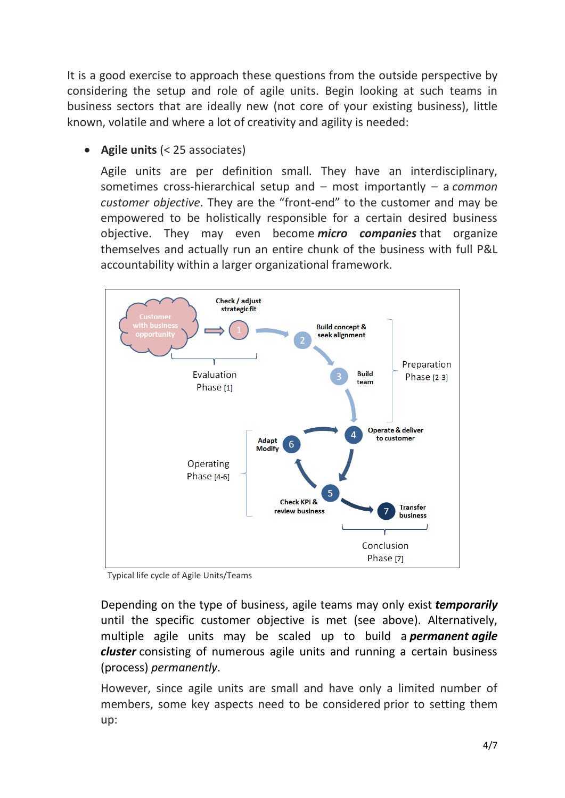It is a good exercise to approach these questions from the outside perspective by considering the setup and role of agile units. Begin looking at such teams in business sectors that are ideally new (not core of your existing business), little known, volatile and where a lot of creativity and agility is needed:

**Agile units** (< 25 associates)

Agile units are per definition small. They have an interdisciplinary, sometimes cross-hierarchical setup and – most importantly – a *common customer objective*. They are the "front-end" to the customer and may be empowered to be holistically responsible for a certain desired business objective. They may even become *micro companies* that organize themselves and actually run an entire chunk of the business with full P&L accountability within a larger organizational framework.



Typical life cycle of Agile Units/Teams

Depending on the type of business, agile teams may only exist *temporarily* until the specific customer objective is met (see above). Alternatively, multiple agile units may be scaled up to build a *permanent agile cluster* consisting of numerous agile units and running a certain business (process) *permanently*.

However, since agile units are small and have only a limited number of members, some key aspects need to be considered prior to setting them up: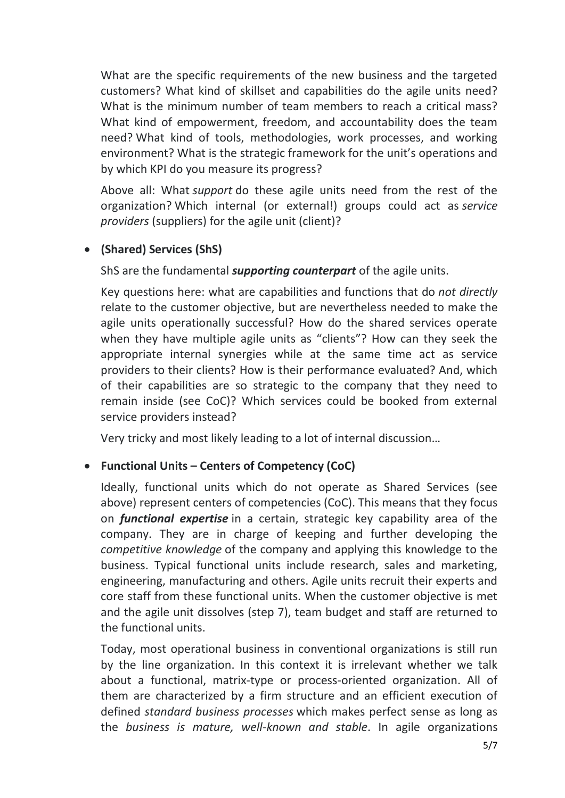What are the specific requirements of the new business and the targeted customers? What kind of skillset and capabilities do the agile units need? What is the minimum number of team members to reach a critical mass? What kind of empowerment, freedom, and accountability does the team need? What kind of tools, methodologies, work processes, and working environment? What is the strategic framework for the unit's operations and by which KPI do you measure its progress?

Above all: What *support* do these agile units need from the rest of the organization? Which internal (or external!) groups could act as *service providers* (suppliers) for the agile unit (client)?

#### **(Shared) Services (ShS)**

ShS are the fundamental *supporting counterpart* of the agile units.

Key questions here: what are capabilities and functions that do *not directly* relate to the customer objective, but are nevertheless needed to make the agile units operationally successful? How do the shared services operate when they have multiple agile units as "clients"? How can they seek the appropriate internal synergies while at the same time act as service providers to their clients? How is their performance evaluated? And, which of their capabilities are so strategic to the company that they need to remain inside (see CoC)? Which services could be booked from external service providers instead?

Very tricky and most likely leading to a lot of internal discussion…

#### **Functional Units – Centers of Competency (CoC)**

Ideally, functional units which do not operate as Shared Services (see above) represent centers of competencies (CoC). This means that they focus on *functional expertise* in a certain, strategic key capability area of the company. They are in charge of keeping and further developing the *competitive knowledge* of the company and applying this knowledge to the business. Typical functional units include research, sales and marketing, engineering, manufacturing and others. Agile units recruit their experts and core staff from these functional units. When the customer objective is met and the agile unit dissolves (step 7), team budget and staff are returned to the functional units.

Today, most operational business in conventional organizations is still run by the line organization. In this context it is irrelevant whether we talk about a functional, matrix-type or process-oriented organization. All of them are characterized by a firm structure and an efficient execution of defined *standard business processes* which makes perfect sense as long as the *business is mature, well-known and stable*. In agile organizations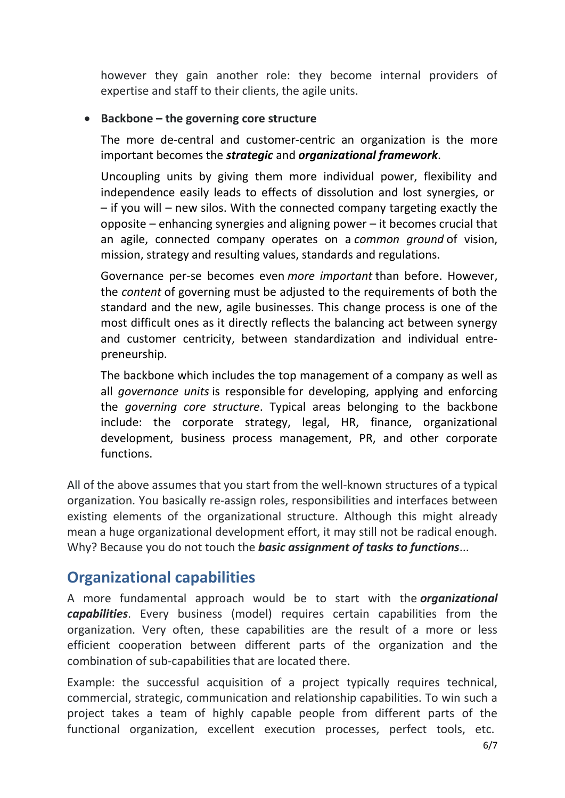however they gain another role: they become internal providers of expertise and staff to their clients, the agile units.

#### **Backbone – the governing core structure**

The more de-central and customer-centric an organization is the more important becomes the *strategic* and *organizational framework*.

Uncoupling units by giving them more individual power, flexibility and independence easily leads to effects of dissolution and lost synergies, or – if you will – new silos. With the connected company targeting exactly the opposite – enhancing synergies and aligning power – it becomes crucial that an agile, connected company operates on a *common ground* of vision, mission, strategy and resulting values, standards and regulations.

Governance per-se becomes even *more important* than before. However, the *content* of governing must be adjusted to the requirements of both the standard and the new, agile businesses. This change process is one of the most difficult ones as it directly reflects the balancing act between synergy and customer centricity, between standardization and individual entrepreneurship.

The backbone which includes the top management of a company as well as all *governance units* is responsible for developing, applying and enforcing the *governing core structure*. Typical areas belonging to the backbone include: the corporate strategy, legal, HR, finance, organizational development, business process management, PR, and other corporate functions.

All of the above assumes that you start from the well-known structures of a typical organization. You basically re-assign roles, responsibilities and interfaces between existing elements of the organizational structure. Although this might already mean a huge organizational development effort, it may still not be radical enough. Why? Because you do not touch the *basic assignment of tasks to functions*...

### **Organizational capabilities**

A more fundamental approach would be to start with the *organizational capabilities*. Every business (model) requires certain capabilities from the organization. Very often, these capabilities are the result of a more or less efficient cooperation between different parts of the organization and the combination of sub-capabilities that are located there.

Example: the successful acquisition of a project typically requires technical, commercial, strategic, communication and relationship capabilities. To win such a project takes a team of highly capable people from different parts of the functional organization, excellent execution processes, perfect tools, etc.